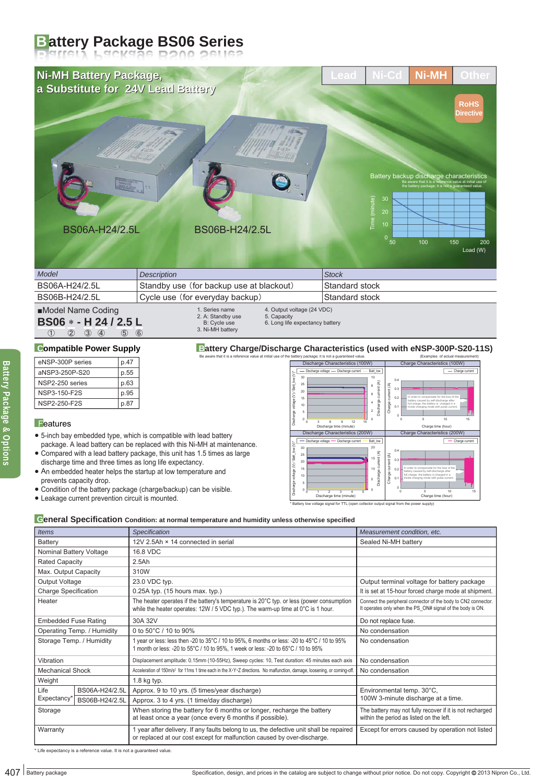# **Battery Package BS06 Series**

#### eNSP-300P series p.47 p.55 p.63 p.95 aNSP3-250P-S20 NSP2-250 series NSP3-150-F2S **Compatible Power Supply**  $ics$  (100W) Charge current 0.4 Discharge voltage - Discharge current - Batt low  $25$  $\alpha$ 8 10 Be aware that it is a reference value at initial use of the battery package; it is not a guaranteed value. (Examples of actual measurement) **Battery Charge/Discharge Characteristics (used with eNSP-300P-S20-11S)** 1. Series name 2. A: Standby use B: Cycle use 3. Ni-MH battery 4. Output voltage (24 VDC) 5. Capacity 6. Long life expectancy battery ① ② ③ ④ ⑤ ⑥ **BS06 - H 24 / 2.5 L**  ■Model Name Coding Standard stock Standard stock BS06A-H24/2.5L BS06B-H24/2.5L Cycle use (for everyday backup) Standby use (for backup use at blackout) *Model* **Stock** *Description* **Stock Stock Stock** Time (minute) Load (W) 0<br>50 100 150 200 30 Battery backup discharge characteristics<br>Be aware that it is a reference value at initial use of the battery package; it is not a guaranteed value. **RoHS Directive**  $Ni$ -MH Other BS06A-H24/2.5L BS06B-H24/2.5L **Ni-MH Battery Package, Ni-MH Battery Package, a Substitute for 24V Lead Battery for 24V Lead Battery**

## **Features**

- 5-inch bay embedded type, which is compatible with lead battery package. A lead battery can be replaced with this Ni-MH at maintenance.
- Compared with a lead battery package, this unit has 1.5 times as large discharge time and three times as long life expectancy.
- An embedded heater helps the startup at low temperature and prevents capacity drop.

- Condition of the battery package (charge/backup) can be visible.
- Leakage current prevention circuit is mounted.



### **General Specification Condition: at normal temperature and humidity unless otherwise specified**

| NSP3-150-F2S<br>NSP2-250-F2S | p.95<br>p.87                                                                |                                                                                                                                                                                                                                                                                                                                                                                                                            | $20\,$<br>voltage (V)/<br>15<br>10<br>5<br>த                                                                                                                              | current (A)<br>ent(A)<br>6<br>ã<br>in order to compensate for the loss of<br>0.2<br>ttery caused by self-discharge after<br>Discharge<br>$\ddot{4}$<br>Charge -<br>full charge, the battery is charged in a<br>trickle charging mode with pulse currer<br>0.1<br>$\sqrt{2}$                                                                                                                                                                                              |  |
|------------------------------|-----------------------------------------------------------------------------|----------------------------------------------------------------------------------------------------------------------------------------------------------------------------------------------------------------------------------------------------------------------------------------------------------------------------------------------------------------------------------------------------------------------------|---------------------------------------------------------------------------------------------------------------------------------------------------------------------------|--------------------------------------------------------------------------------------------------------------------------------------------------------------------------------------------------------------------------------------------------------------------------------------------------------------------------------------------------------------------------------------------------------------------------------------------------------------------------|--|
| $\blacksquare$ Features      |                                                                             |                                                                                                                                                                                                                                                                                                                                                                                                                            | $\Omega$<br>12<br>Discharge time (minute)                                                                                                                                 | 15<br>$\Omega$<br>10 <sub>10</sub><br>15<br>Charge time (hour)                                                                                                                                                                                                                                                                                                                                                                                                           |  |
|                              | prevents capacity drop.<br>• Leakage current prevention circuit is mounted. | • 5-inch bay embedded type, which is compatible with lead battery<br>package. A lead battery can be replaced with this Ni-MH at maintenance.<br>• Compared with a lead battery package, this unit has 1.5 times as large<br>discharge time and three times as long life expectancy.<br>• An embedded heater helps the startup at low temperature and<br>• Condition of the battery package (charge/backup) can be visible. | Discharge Characteristics (200W)<br>- Discharge voltage<br>- Discharge current<br>30<br>Batt k<br>25<br>20<br>oltage $(N)$ /<br>15<br>10<br>g,<br>Discharge time (minute) | Charge Characteristics (200W)<br>Batt low<br>Charge current<br>20<br>current (A)<br>ent $(A)$<br>15<br>0.3<br>ā<br>order to compensate for the loss of the<br>10<br>02<br>Discharge<br>ttery caused by self-discharge after<br>Charge<br>full charge, the battery is charged in a<br>trickle charging mode with pulse curre<br>0.1<br>5<br>$10$<br>15<br>Charge time (hour)<br>* Battery low voltage signal for TTL (open collector output signal from the power supply) |  |
| <b>Items</b>                 |                                                                             | Ceneral Specification Condition: at normal temperature and humidity unless otherwise specified<br>Specification                                                                                                                                                                                                                                                                                                            |                                                                                                                                                                           | Measurement condition, etc.                                                                                                                                                                                                                                                                                                                                                                                                                                              |  |
| Battery                      |                                                                             | 12V 2.5Ah × 14 connected in serial                                                                                                                                                                                                                                                                                                                                                                                         |                                                                                                                                                                           | Sealed Ni-MH battery                                                                                                                                                                                                                                                                                                                                                                                                                                                     |  |
| Nominal Battery Voltage      |                                                                             | 16.8 VDC                                                                                                                                                                                                                                                                                                                                                                                                                   |                                                                                                                                                                           |                                                                                                                                                                                                                                                                                                                                                                                                                                                                          |  |
| <b>Rated Capacity</b>        |                                                                             | 2.5Ah                                                                                                                                                                                                                                                                                                                                                                                                                      |                                                                                                                                                                           |                                                                                                                                                                                                                                                                                                                                                                                                                                                                          |  |
| Max. Output Capacity         |                                                                             | 310W                                                                                                                                                                                                                                                                                                                                                                                                                       |                                                                                                                                                                           |                                                                                                                                                                                                                                                                                                                                                                                                                                                                          |  |
| Output Voltage               |                                                                             | 23.0 VDC typ.                                                                                                                                                                                                                                                                                                                                                                                                              |                                                                                                                                                                           | Output terminal voltage for battery package                                                                                                                                                                                                                                                                                                                                                                                                                              |  |
| <b>Charge Specification</b>  |                                                                             | $0.25A$ typ. (15 hours max. typ.)                                                                                                                                                                                                                                                                                                                                                                                          |                                                                                                                                                                           | It is set at 15-hour forced charge mode at shipment.                                                                                                                                                                                                                                                                                                                                                                                                                     |  |
| Heater                       |                                                                             | The heater operates if the battery's temperature is $20^{\circ}$ C typ. or less (power consumption<br>while the heater operates: 12W / 5 VDC typ.). The warm-up time at 0°C is 1 hour.                                                                                                                                                                                                                                     |                                                                                                                                                                           | Connect the peripheral connector of the body to CN2 connector.<br>It operates only when the PS_ON# signal of the body is ON.                                                                                                                                                                                                                                                                                                                                             |  |
| <b>Embedded Fuse Rating</b>  |                                                                             | 30A 32V                                                                                                                                                                                                                                                                                                                                                                                                                    |                                                                                                                                                                           | Do not replace fuse.                                                                                                                                                                                                                                                                                                                                                                                                                                                     |  |
| Operating Temp. / Humidity   |                                                                             | 0 to 50°C / 10 to 90%                                                                                                                                                                                                                                                                                                                                                                                                      |                                                                                                                                                                           | No condensation                                                                                                                                                                                                                                                                                                                                                                                                                                                          |  |
| Storage Temp. / Humidity     |                                                                             | 1 year or less: less then -20 to 35°C / 10 to 95%, 6 months or less: -20 to 45°C / 10 to 95%<br>1 month or less: -20 to 55°C / 10 to 95%, 1 week or less: -20 to 65°C / 10 to 95%                                                                                                                                                                                                                                          |                                                                                                                                                                           | No condensation                                                                                                                                                                                                                                                                                                                                                                                                                                                          |  |
| Vibration                    |                                                                             | Displacement amplitude: 0.15mm (10-55Hz), Sweep cycles: 10, Test duration: 45 minutes each axis                                                                                                                                                                                                                                                                                                                            |                                                                                                                                                                           | No condensation                                                                                                                                                                                                                                                                                                                                                                                                                                                          |  |
| <b>Mechanical Shock</b>      |                                                                             | Acceleration of 150m/s <sup>2</sup> for 11ms 1 time each in the X-Y-Z directions. No malfunction, damage, loosening, or coming-off.                                                                                                                                                                                                                                                                                        |                                                                                                                                                                           | No condensation                                                                                                                                                                                                                                                                                                                                                                                                                                                          |  |
| Weight                       |                                                                             | $1.8$ kg typ.                                                                                                                                                                                                                                                                                                                                                                                                              |                                                                                                                                                                           |                                                                                                                                                                                                                                                                                                                                                                                                                                                                          |  |
| Life                         | BS06A-H24/2.5L                                                              | Approx. 9 to 10 yrs. (5 times/year discharge)                                                                                                                                                                                                                                                                                                                                                                              |                                                                                                                                                                           | Environmental temp. 30°C,                                                                                                                                                                                                                                                                                                                                                                                                                                                |  |
|                              | BS06B-H24/2.5L                                                              | Approx. 3 to 4 yrs. (1 time/day discharge)                                                                                                                                                                                                                                                                                                                                                                                 |                                                                                                                                                                           | 100W 3-minute discharge at a time.                                                                                                                                                                                                                                                                                                                                                                                                                                       |  |
| Expectancy <sup>*</sup>      |                                                                             | When storing the battery for 6 months or longer, recharge the battery<br>at least once a year (once every 6 months if possible).                                                                                                                                                                                                                                                                                           |                                                                                                                                                                           | The battery may not fully recover if it is not recharged<br>within the period as listed on the left.                                                                                                                                                                                                                                                                                                                                                                     |  |
| Storage                      |                                                                             | 1 year after delivery. If any faults belong to us, the defective unit shall be repaired<br>or replaced at our cost except for malfunction caused by over-discharge.                                                                                                                                                                                                                                                        |                                                                                                                                                                           | Except for errors caused by operation not listed                                                                                                                                                                                                                                                                                                                                                                                                                         |  |